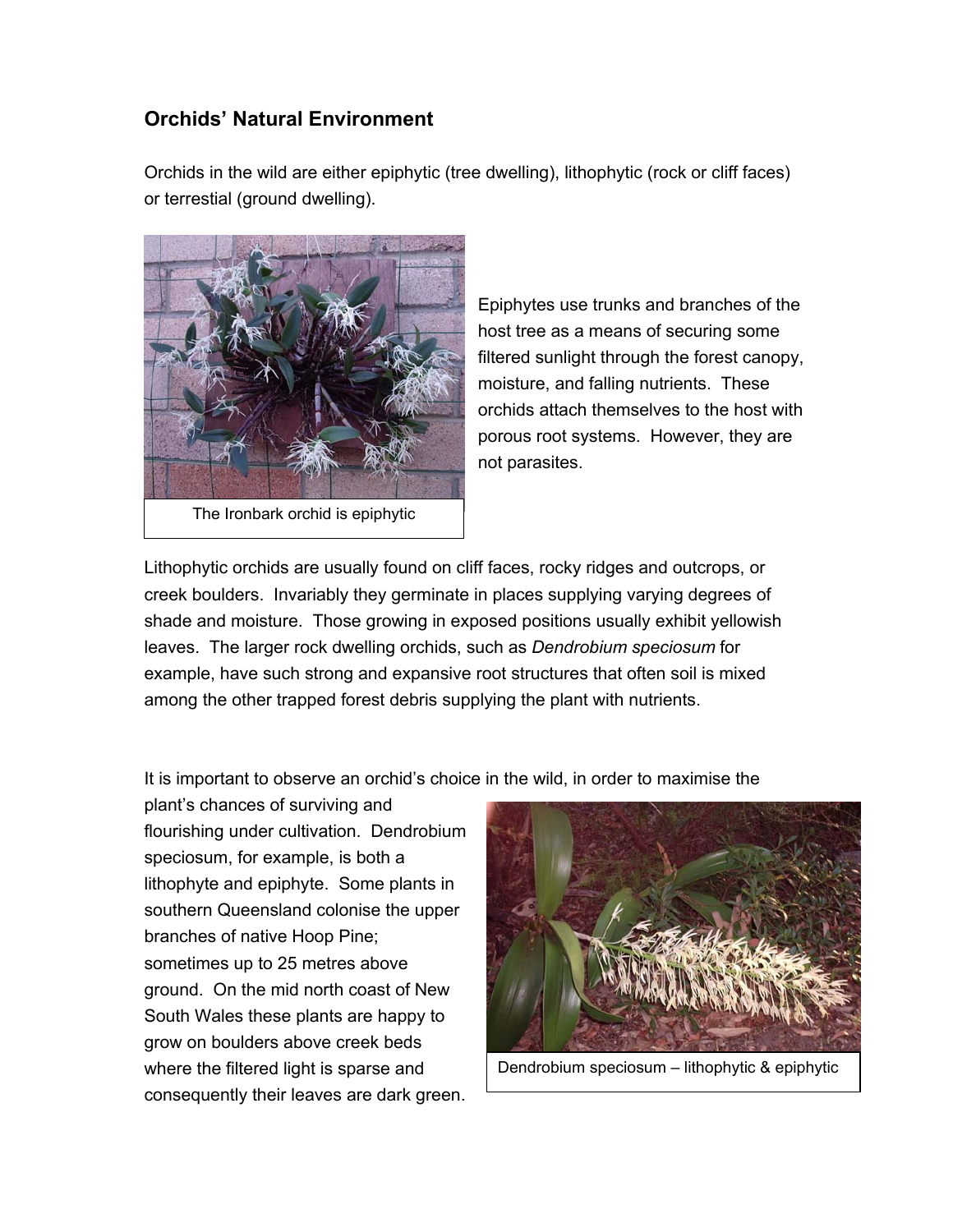## **Orchids' Natural Environment**

Orchids in the wild are either epiphytic (tree dwelling), lithophytic (rock or cliff faces) or terrestial (ground dwelling).



Epiphytes use trunks and branches of the host tree as a means of securing some filtered sunlight through the forest canopy, moisture, and falling nutrients. These orchids attach themselves to the host with porous root systems. However, they are not parasites.

Lithophytic orchids are usually found on cliff faces, rocky ridges and outcrops, or creek boulders. Invariably they germinate in places supplying varying degrees of shade and moisture. Those growing in exposed positions usually exhibit yellowish leaves. The larger rock dwelling orchids, such as *Dendrobium speciosum* for example, have such strong and expansive root structures that often soil is mixed among the other trapped forest debris supplying the plant with nutrients.

It is important to observe an orchid's choice in the wild, in order to maximise the

plant's chances of surviving and flourishing under cultivation. Dendrobium speciosum, for example, is both a lithophyte and epiphyte. Some plants in southern Queensland colonise the upper branches of native Hoop Pine; sometimes up to 25 metres above ground. On the mid north coast of New South Wales these plants are happy to grow on boulders above creek beds where the filtered light is sparse and consequently their leaves are dark green.



Dendrobium speciosum – lithophytic & epiphytic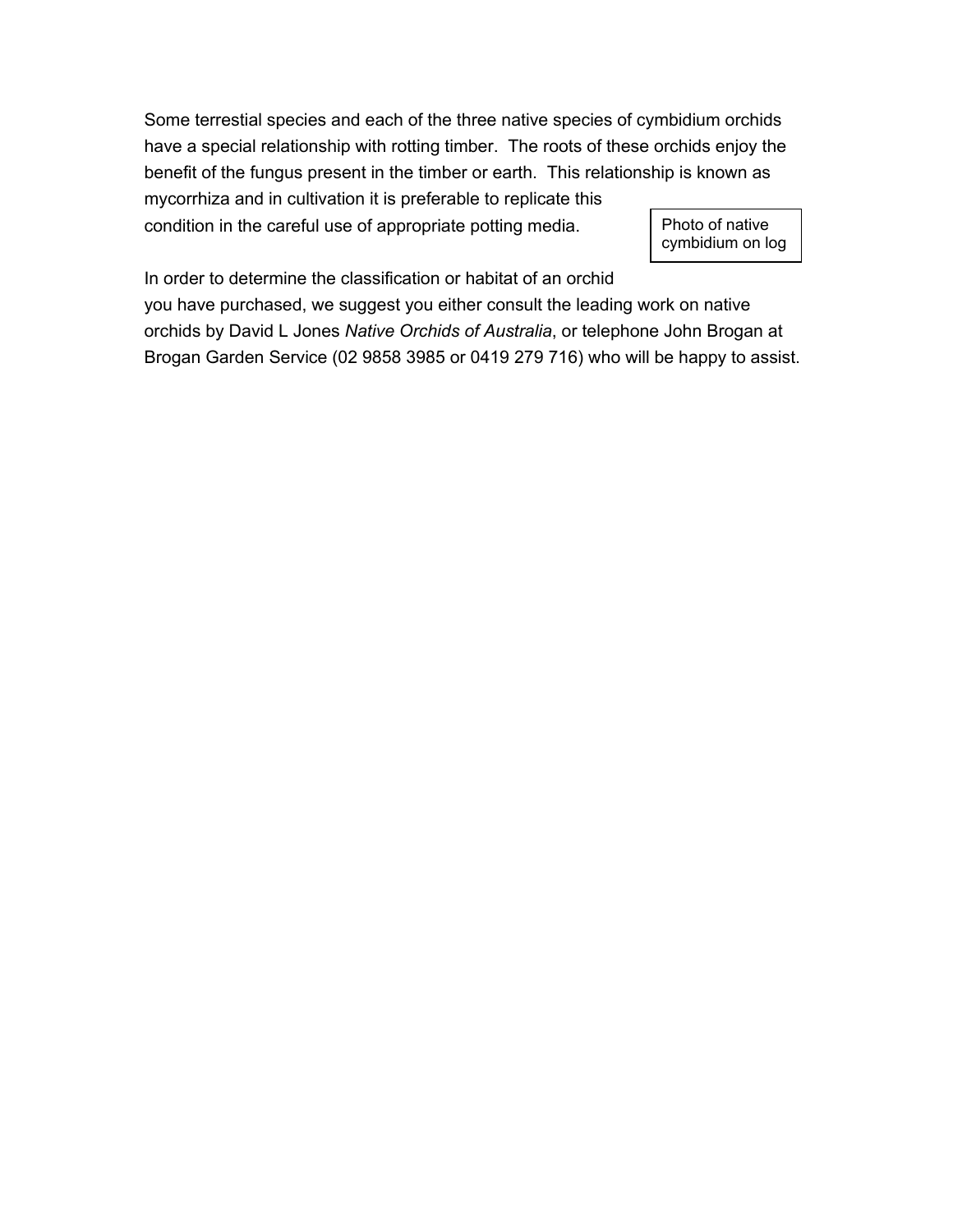Some terrestial species and each of the three native species of cymbidium orchids have a special relationship with rotting timber. The roots of these orchids enjoy the benefit of the fungus present in the timber or earth. This relationship is known as mycorrhiza and in cultivation it is preferable to replicate this condition in the careful use of appropriate potting media. Photo of native

cymbidium on log

In order to determine the classification or habitat of an orchid

you have purchased, we suggest you either consult the leading work on native orchids by David L Jones *Native Orchids of Australia*, or telephone John Brogan at Brogan Garden Service (02 9858 3985 or 0419 279 716) who will be happy to assist.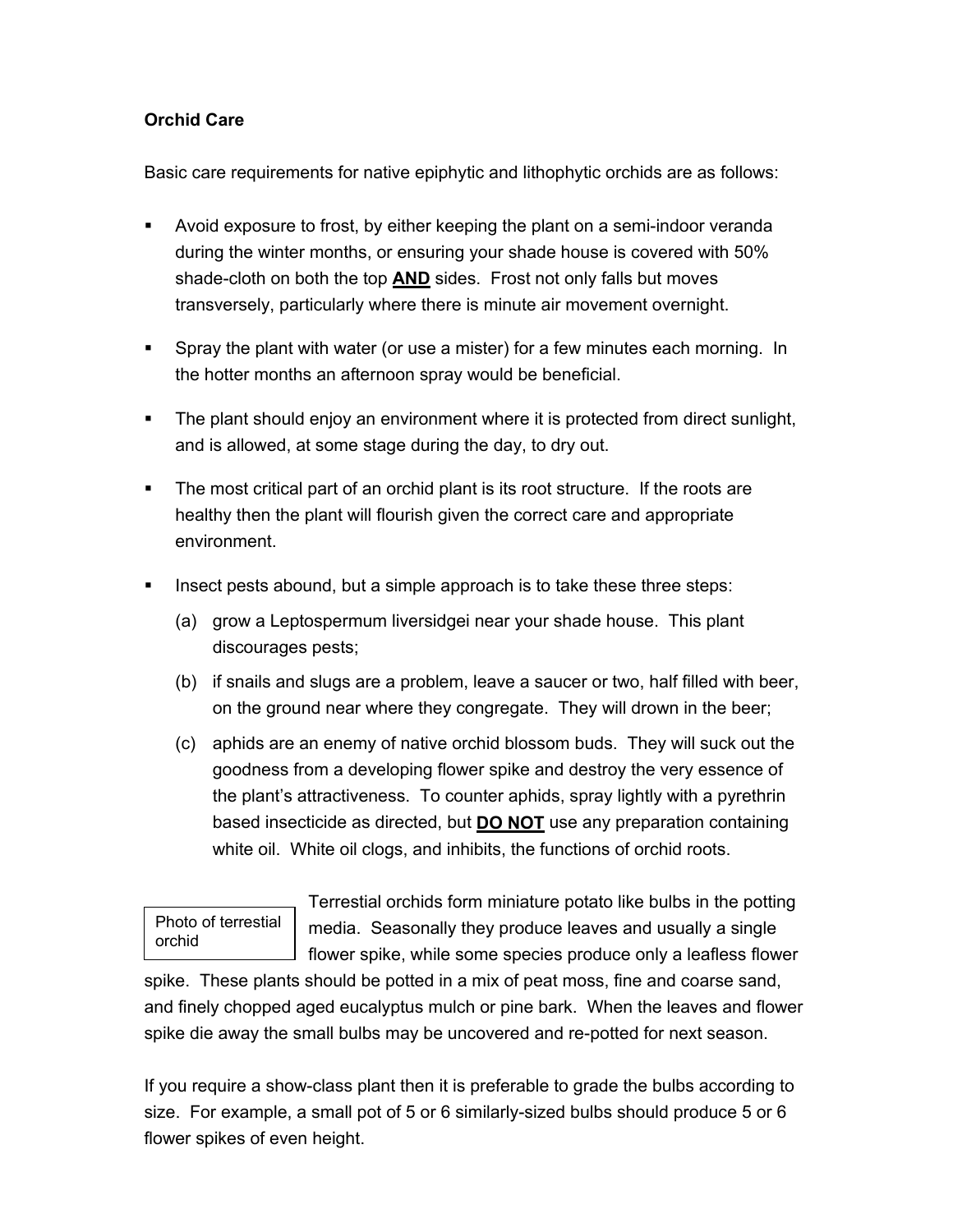## **Orchid Care**

Basic care requirements for native epiphytic and lithophytic orchids are as follows:

- Avoid exposure to frost, by either keeping the plant on a semi-indoor veranda during the winter months, or ensuring your shade house is covered with 50% shade-cloth on both the top **AND** sides. Frost not only falls but moves transversely, particularly where there is minute air movement overnight.
- Spray the plant with water (or use a mister) for a few minutes each morning. In the hotter months an afternoon spray would be beneficial.
- The plant should enjoy an environment where it is protected from direct sunlight, and is allowed, at some stage during the day, to dry out.
- The most critical part of an orchid plant is its root structure. If the roots are healthy then the plant will flourish given the correct care and appropriate environment.
- Insect pests abound, but a simple approach is to take these three steps:
	- (a) grow a Leptospermum liversidgei near your shade house. This plant discourages pests;
	- (b) if snails and slugs are a problem, leave a saucer or two, half filled with beer, on the ground near where they congregate. They will drown in the beer;
	- (c) aphids are an enemy of native orchid blossom buds. They will suck out the goodness from a developing flower spike and destroy the very essence of the plant's attractiveness. To counter aphids, spray lightly with a pyrethrin based insecticide as directed, but **DO NOT** use any preparation containing white oil. White oil clogs, and inhibits, the functions of orchid roots.

Photo of terrestial orchid

Terrestial orchids form miniature potato like bulbs in the potting media. Seasonally they produce leaves and usually a single flower spike, while some species produce only a leafless flower

spike. These plants should be potted in a mix of peat moss, fine and coarse sand, and finely chopped aged eucalyptus mulch or pine bark. When the leaves and flower spike die away the small bulbs may be uncovered and re-potted for next season.

If you require a show-class plant then it is preferable to grade the bulbs according to size. For example, a small pot of 5 or 6 similarly-sized bulbs should produce 5 or 6 flower spikes of even height.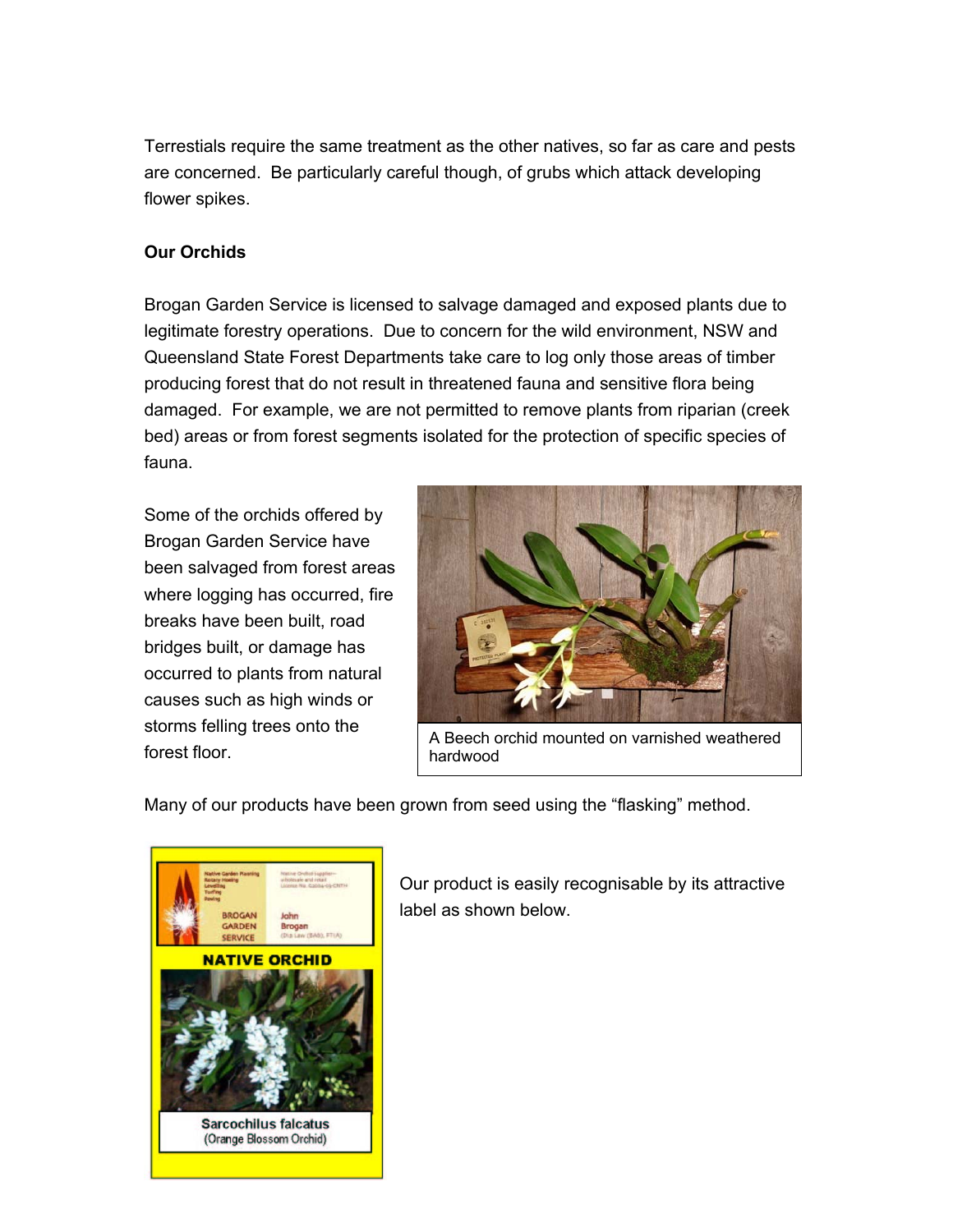Terrestials require the same treatment as the other natives, so far as care and pests are concerned. Be particularly careful though, of grubs which attack developing flower spikes.

## **Our Orchids**

Brogan Garden Service is licensed to salvage damaged and exposed plants due to legitimate forestry operations. Due to concern for the wild environment, NSW and Queensland State Forest Departments take care to log only those areas of timber producing forest that do not result in threatened fauna and sensitive flora being damaged. For example, we are not permitted to remove plants from riparian (creek bed) areas or from forest segments isolated for the protection of specific species of fauna.

Some of the orchids offered by Brogan Garden Service have been salvaged from forest areas where logging has occurred, fire breaks have been built, road bridges built, or damage has occurred to plants from natural causes such as high winds or storms felling trees onto the forest floor.



A Beech orchid mounted on varnished weathered hardwood

Many of our products have been grown from seed using the "flasking" method.



Our product is easily recognisable by its attractive label as shown below.